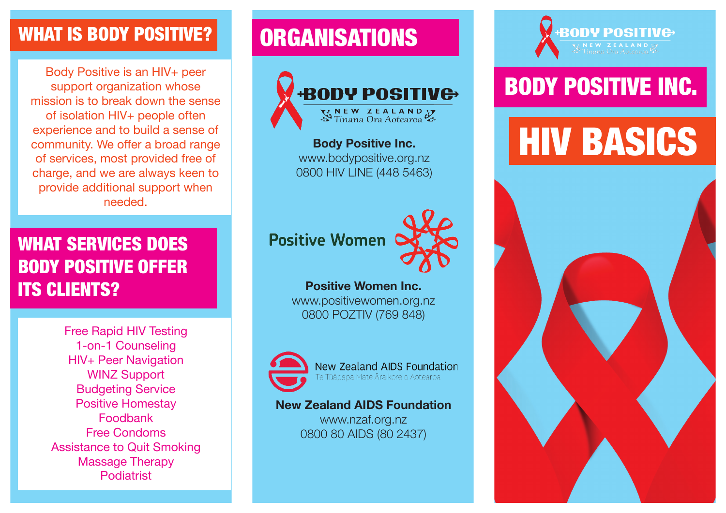### WHAT IS BODY POSITIVE?

Body Positive is an HIV+ peer support organization whose mission is to break down the sense of isolation HIV+ people often experience and to build a sense of community. We offer a broad range of services, most provided free of charge, and we are always keen to provide additional support when needed.

### WHAT SERVICES DOES BODY POSITIVE OFFER ITS CLIENTS?

Free Rapid HIV Testing 1-on-1 Counseling HIV+ Peer Navigation WINZ Support Budgeting Service Positive Homestay Foodbank Free Condoms Assistance to Quit Smoking Massage Therapy Podiatrist

## **ORGANISATIONS**



**Body Positive Inc.** www.bodypositive.org.nz 0800 HIV LINE (448 5463)



#### **Positive Women Inc.**

www.positivewomen.org.nz 0800 POZTIV (769 848)



New Zealand AIDS Foundation e Tūāpapa Mate Āraikore o Aotearoa

#### **New Zealand AIDS Foundation**

www.nzaf.org.nz 0800 80 AIDS (80 2437)

# **BODY POSIT**

## BODY POSITIVE INC.

# **HIV BASICS**